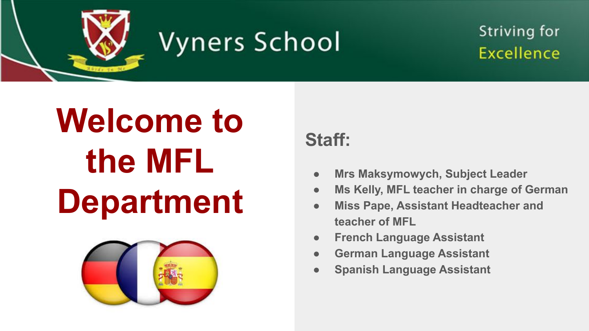

#### **Striving for Excellence**

# **Welcome to the MFL Department**



**Staff:**

- **● Mrs Maksymowych, Subject Leader**
- **● Ms Kelly, MFL teacher in charge of German**
- **● Miss Pape, Assistant Headteacher and teacher of MFL**
- **● French Language Assistant**
- **● German Language Assistant**
- **● Spanish Language Assistant**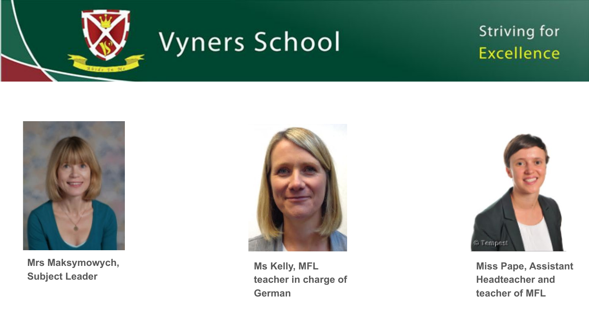

#### **Striving for Excellence**



**Mrs Maksymowych, Subject Leader**



**Ms Kelly, MFL teacher in charge of German**



**Miss Pape, Assistant Headteacher and teacher of MFL**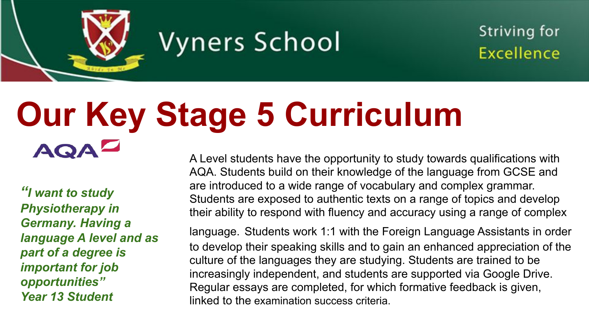

Striving for **Excellence** 

#### **Our Key Stage 5 Curriculum** AQ

*"I want to study Physiotherapy in Germany. Having a language A level and as part of a degree is important for job opportunities" Year 13 Student*

A Level students have the opportunity to study towards qualifications with AQA. Students build on their knowledge of the language from GCSE and are introduced to a wide range of vocabulary and complex grammar. Students are exposed to authentic texts on a range of topics and develop their ability to respond with fluency and accuracy using a range of complex

language. Students work 1:1 with the Foreign Language Assistants in order to develop their speaking skills and to gain an enhanced appreciation of the culture of the languages they are studying. Students are trained to be increasingly independent, and students are supported via Google Drive. Regular essays are completed, for which formative feedback is given, linked to the examination success criteria.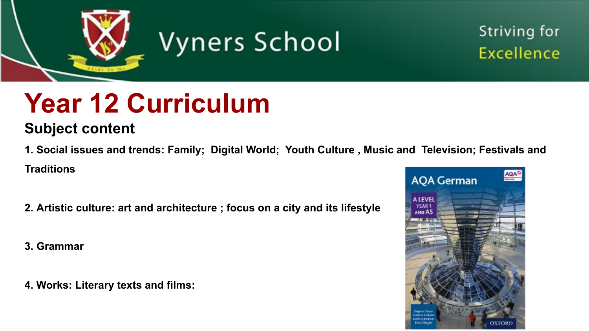

**Striving for** Excellence

## **Year 12 Curriculum**

#### **Subject content**

**1. [Social issues and trends:](https://www.aqa.org.uk/subjects/languages/as-and-a-level/german-7661/subject-content/social-issues-and-trends) Family; Digital World; Youth Culture , Music and Television; Festivals and Traditions**

- **2. [Artistic culture](https://www.aqa.org.uk/subjects/languages/as-and-a-level/german-7661/subject-content/artistic-culture): art and architecture ; focus on a city and its lifestyle**
- **3. [Grammar](https://www.aqa.org.uk/subjects/languages/as-and-a-level/german-7661/subject-content/grammar)**
- **4. Works: [Literary texts and films](https://www.aqa.org.uk/subjects/languages/as-and-a-level/german-7661/subject-content/works#Literary_texts_and_films):**

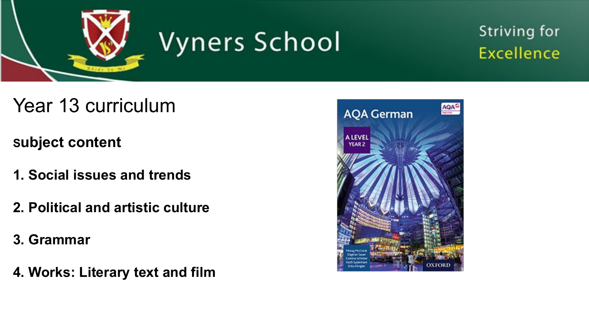

#### **Striving for Excellence**

- Year 13 curriculum
- **Subject content**
- **1. Social issues and trends**
- **2. Political and artistic culture**
- **3. Grammar**
- **4. Works: Literary text and film**

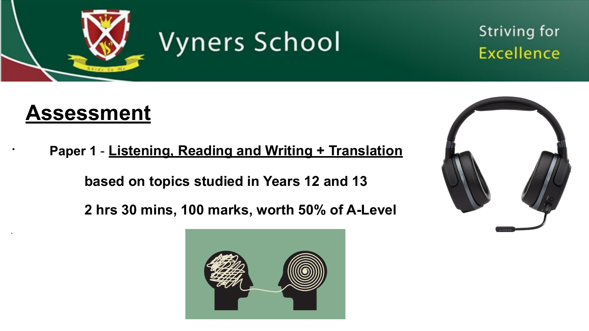

#### Striving for **Excellence**

#### **Assessment**

**·** 

· **Paper 1** - **Listening, Reading and Writing + Translation**

**based on topics studied in Years 12 and 13**

**2 hrs 30 mins, 100 marks, worth 50% of A-Level**



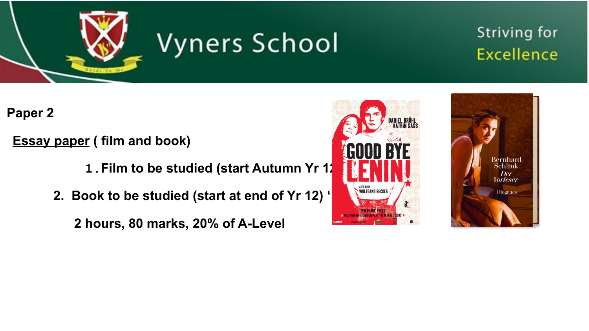

#### **Striving for Excellence**

 **Paper 2** 

- **Essay paper ( film and book)**
	- **1.Film to be studied (start Autumn Yr 12)**
	- **2. Book to be studied (start at end of Yr 12) '·**
		- **2 hours, 80 marks, 20% of A-Level**



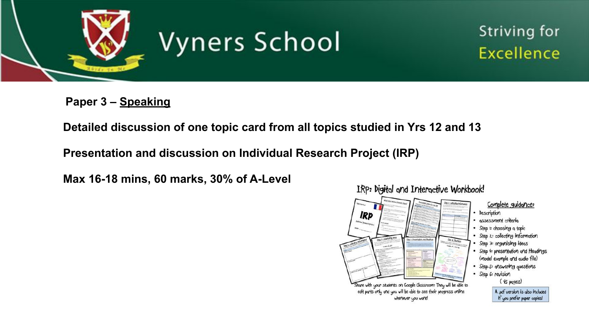

**Striving for Excellence** 

 **Paper 3 – Speaking**

**Detailed discussion of one topic card from all topics studied in Yrs 12 and 13**

**Presentation and discussion on Individual Research Project (IRP)**

**Max 16-18 mins, 60 marks, 30% of A-Level** 

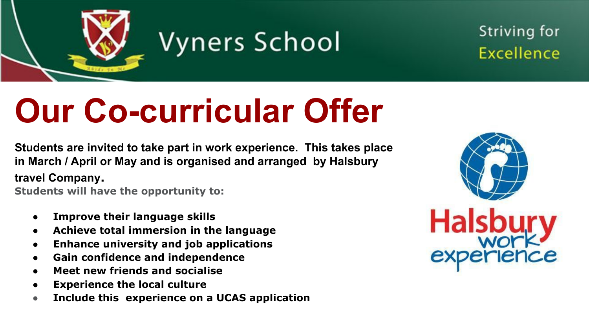

**Striving for** Excellence

# **Our Co-curricular Offer**

**Students are invited to take part in work experience. This takes place in March / April or May and is organised and arranged by Halsbury travel Company.** 

**Students will have the opportunity to:**

- **● Improve their language skills**
- **● Achieve total immersion in the language**
- **● Enhance university and job applications**
- **● Gain confidence and independence**
- **● Meet new friends and socialise**
- **Experience the local culture**
- **● Include this experience on a UCAS application**

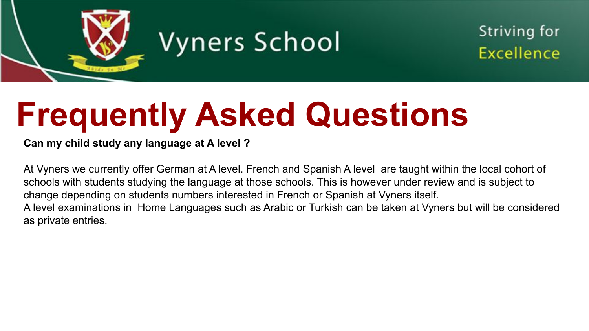

**Striving for** Excellence

# **Frequently Asked Questions**

#### **Can my child study any language at A level ?**

At Vyners we currently offer German at A level. French and Spanish A level are taught within the local cohort of schools with students studying the language at those schools. This is however under review and is subject to change depending on students numbers interested in French or Spanish at Vyners itself. A level examinations in Home Languages such as Arabic or Turkish can be taken at Vyners but will be considered as private entries.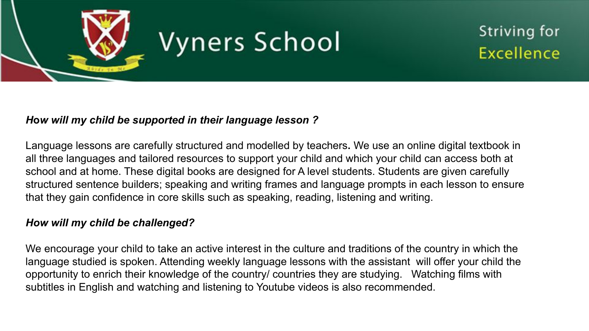

Striving for **Excellence** 

#### *H***o***w will my child be supported in their language lesson ?*

Language lessons are carefully structured and modelled by teachers**.** We use an online digital textbook in all three languages and tailored resources to support your child and which your child can access both at school and at home. These digital books are designed for A level students. Students are given carefully structured sentence builders; speaking and writing frames and language prompts in each lesson to ensure that they gain confidence in core skills such as speaking, reading, listening and writing.

#### *How will my child be challenged?*

We encourage your child to take an active interest in the culture and traditions of the country in which the language studied is spoken. Attending weekly language lessons with the assistant will offer your child the opportunity to enrich their knowledge of the country/ countries they are studying. Watching films with subtitles in English and watching and listening to Youtube videos is also recommended.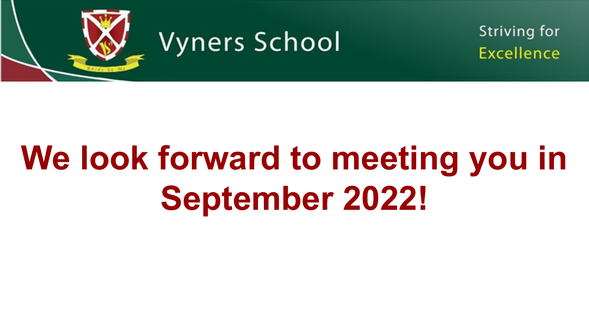

**Striving for** Excellence

# **We look forward to meeting you in September 2022!**